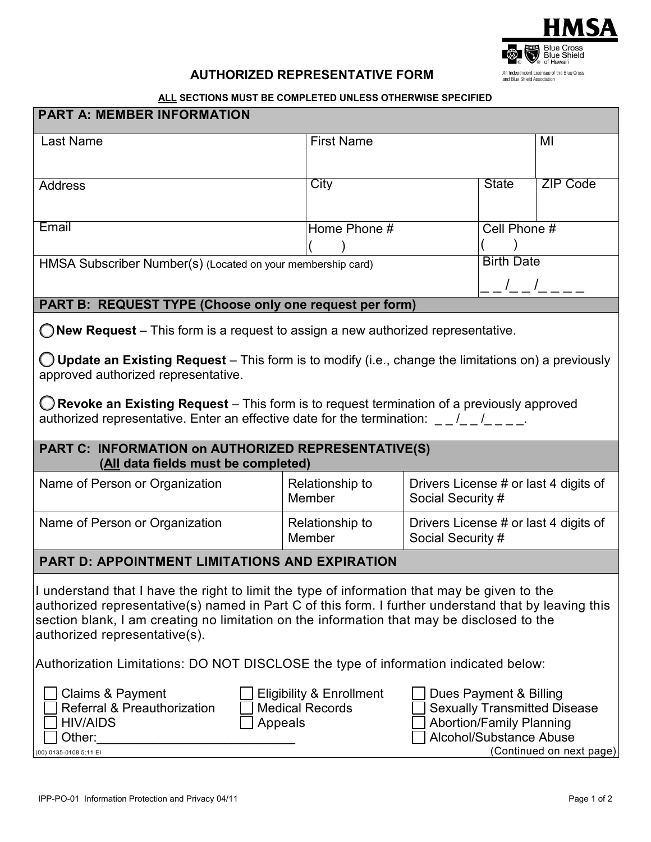

## **AUTHORIZED REPRESENTATIVE FORM**

## **ALL SECTIONS MUST BE COMPLETED UNLESS OTHERWISE SPECIFIED**

| <b>PART A: MEMBER INFORMATION</b>                                                                                                                                                                                                                                                                                                             |                                  |                                                            |              |                   |  |
|-----------------------------------------------------------------------------------------------------------------------------------------------------------------------------------------------------------------------------------------------------------------------------------------------------------------------------------------------|----------------------------------|------------------------------------------------------------|--------------|-------------------|--|
| Last Name                                                                                                                                                                                                                                                                                                                                     | <b>First Name</b>                |                                                            |              | MI                |  |
|                                                                                                                                                                                                                                                                                                                                               |                                  |                                                            |              |                   |  |
| <b>Address</b>                                                                                                                                                                                                                                                                                                                                | City                             |                                                            | <b>State</b> | <b>ZIP Code</b>   |  |
|                                                                                                                                                                                                                                                                                                                                               |                                  |                                                            |              |                   |  |
| Email                                                                                                                                                                                                                                                                                                                                         |                                  | Cell Phone #<br>Home Phone #                               |              |                   |  |
| HMSA Subscriber Number(s) (Located on your membership card)                                                                                                                                                                                                                                                                                   | <b>Birth Date</b>                |                                                            |              |                   |  |
|                                                                                                                                                                                                                                                                                                                                               |                                  |                                                            |              | _ _ /_ _ /_ _ _ _ |  |
| PART B: REQUEST TYPE (Choose only one request per form)                                                                                                                                                                                                                                                                                       |                                  |                                                            |              |                   |  |
| $\bigcirc$ New Request – This form is a request to assign a new authorized representative.                                                                                                                                                                                                                                                    |                                  |                                                            |              |                   |  |
| $\bigcirc$ Update an Existing Request – This form is to modify (i.e., change the limitations on) a previously<br>approved authorized representative.                                                                                                                                                                                          |                                  |                                                            |              |                   |  |
| $\bigcirc$ Revoke an Existing Request – This form is to request termination of a previously approved<br>authorized representative. Enter an effective date for the termination: 1 /                                                                                                                                                           |                                  |                                                            |              |                   |  |
| PART C: INFORMATION on AUTHORIZED REPRESENTATIVE(S)<br>(All data fields must be completed)                                                                                                                                                                                                                                                    |                                  |                                                            |              |                   |  |
| Name of Person or Organization                                                                                                                                                                                                                                                                                                                | Relationship to<br><b>Member</b> | Drivers License # or last 4 digits of<br>Social Security # |              |                   |  |
| Name of Person or Organization                                                                                                                                                                                                                                                                                                                | Relationship to<br><b>Member</b> | Drivers License # or last 4 digits of<br>Social Security # |              |                   |  |
| <b>PART D: APPOINTMENT LIMITATIONS AND EXPIRATION</b>                                                                                                                                                                                                                                                                                         |                                  |                                                            |              |                   |  |
| I understand that I have the right to limit the type of information that may be given to the<br>authorized representative(s) named in Part C of this form. I further understand that by leaving this<br>section blank, I am creating no limitation on the information that may be disclosed to the<br>authorized representative(s).           |                                  |                                                            |              |                   |  |
| Authorization Limitations: DO NOT DISCLOSE the type of information indicated below:                                                                                                                                                                                                                                                           |                                  |                                                            |              |                   |  |
| Claims & Payment<br><b>Eligibility &amp; Enrollment</b><br>Dues Payment & Billing<br>Referral & Preauthorization<br><b>Sexually Transmitted Disease</b><br><b>Medical Records</b><br><b>Abortion/Family Planning</b><br><b>HIV/AIDS</b><br>Appeals<br>Alcohol/Substance Abuse<br>Other:<br>(Continued on next page)<br>(00) 0135-0108 5:11 EI |                                  |                                                            |              |                   |  |